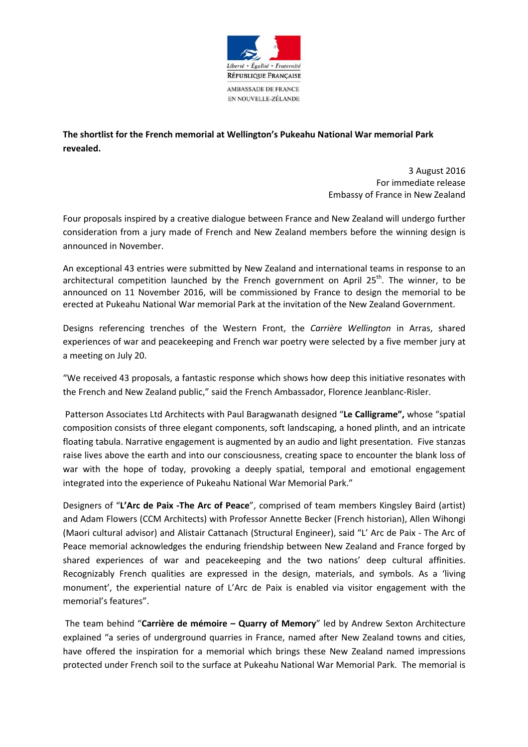

**The shortlist for the French memorial at Wellington's Pukeahu National War memorial Park revealed.** 

> 3 August 2016 For immediate release Embassy of France in New Zealand

Four proposals inspired by a creative dialogue between France and New Zealand will undergo further consideration from a jury made of French and New Zealand members before the winning design is announced in November.

An exceptional 43 entries were submitted by New Zealand and international teams in response to an architectural competition launched by the French government on April  $25<sup>th</sup>$ . The winner, to be announced on 11 November 2016, will be commissioned by France to design the memorial to be erected at Pukeahu National War memorial Park at the invitation of the New Zealand Government.

Designs referencing trenches of the Western Front, the *Carrière Wellington* in Arras, shared experiences of war and peacekeeping and French war poetry were selected by a five member jury at a meeting on July 20.

"We received 43 proposals, a fantastic response which shows how deep this initiative resonates with the French and New Zealand public," said the French Ambassador, Florence Jeanblanc-Risler.

 Patterson Associates Ltd Architects with Paul Baragwanath designed "**Le Calligrame",** whose "spatial composition consists of three elegant components, soft landscaping, a honed plinth, and an intricate floating tabula. Narrative engagement is augmented by an audio and light presentation. Five stanzas raise lives above the earth and into our consciousness, creating space to encounter the blank loss of war with the hope of today, provoking a deeply spatial, temporal and emotional engagement integrated into the experience of Pukeahu National War Memorial Park."

Designers of "**L'Arc de Paix -The Arc of Peace**", comprised of team members Kingsley Baird (artist) and Adam Flowers (CCM Architects) with Professor Annette Becker (French historian), Allen Wihongi (Maori cultural advisor) and Alistair Cattanach (Structural Engineer), said "L' Arc de Paix - The Arc of Peace memorial acknowledges the enduring friendship between New Zealand and France forged by shared experiences of war and peacekeeping and the two nations' deep cultural affinities. Recognizably French qualities are expressed in the design, materials, and symbols. As a 'living monument', the experiential nature of L'Arc de Paix is enabled via visitor engagement with the memorial's features".

 The team behind "**Carrière de mémoire – Quarry of Memory**" led by Andrew Sexton Architecture explained "a series of underground quarries in France, named after New Zealand towns and cities, have offered the inspiration for a memorial which brings these New Zealand named impressions protected under French soil to the surface at Pukeahu National War Memorial Park. The memorial is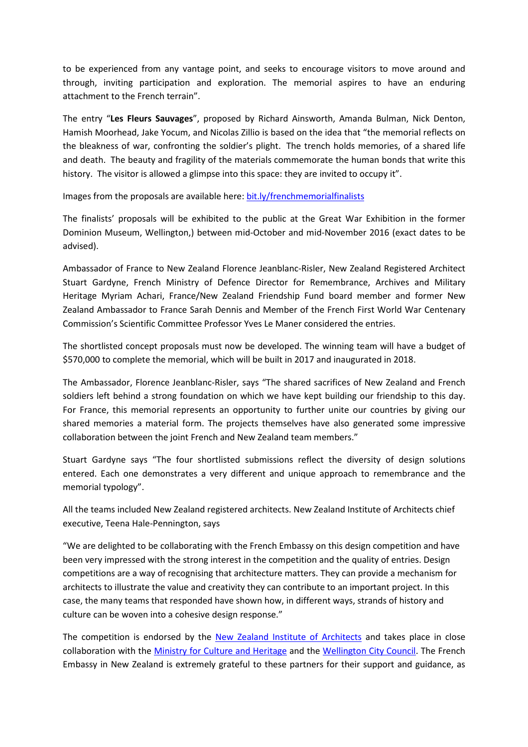to be experienced from any vantage point, and seeks to encourage visitors to move around and through, inviting participation and exploration. The memorial aspires to have an enduring attachment to the French terrain".

The entry "**Les Fleurs Sauvages**", proposed by Richard Ainsworth, Amanda Bulman, Nick Denton, Hamish Moorhead, Jake Yocum, and Nicolas Zillio is based on the idea that "the memorial reflects on the bleakness of war, confronting the soldier's plight. The trench holds memories, of a shared life and death. The beauty and fragility of the materials commemorate the human bonds that write this history. The visitor is allowed a glimpse into this space: they are invited to occupy it".

Images from the proposals are available here: bit.ly/frenchmemorialfinalists

The finalists' proposals will be exhibited to the public at the Great War Exhibition in the former Dominion Museum, Wellington,) between mid-October and mid-November 2016 (exact dates to be advised).

Ambassador of France to New Zealand Florence Jeanblanc-Risler, New Zealand Registered Architect Stuart Gardyne, French Ministry of Defence Director for Remembrance, Archives and Military Heritage Myriam Achari, France/New Zealand Friendship Fund board member and former New Zealand Ambassador to France Sarah Dennis and Member of the French First World War Centenary Commission's Scientific Committee Professor Yves Le Maner considered the entries.

The shortlisted concept proposals must now be developed. The winning team will have a budget of \$570,000 to complete the memorial, which will be built in 2017 and inaugurated in 2018.

The Ambassador, Florence Jeanblanc-Risler, says "The shared sacrifices of New Zealand and French soldiers left behind a strong foundation on which we have kept building our friendship to this day. For France, this memorial represents an opportunity to further unite our countries by giving our shared memories a material form. The projects themselves have also generated some impressive collaboration between the joint French and New Zealand team members."

Stuart Gardyne says "The four shortlisted submissions reflect the diversity of design solutions entered. Each one demonstrates a very different and unique approach to remembrance and the memorial typology".

All the teams included New Zealand registered architects. New Zealand Institute of Architects chief executive, Teena Hale-Pennington, says

"We are delighted to be collaborating with the French Embassy on this design competition and have been very impressed with the strong interest in the competition and the quality of entries. Design competitions are a way of recognising that architecture matters. They can provide a mechanism for architects to illustrate the value and creativity they can contribute to an important project. In this case, the many teams that responded have shown how, in different ways, strands of history and culture can be woven into a cohesive design response."

The competition is endorsed by the New Zealand Institute of Architects and takes place in close collaboration with the Ministry for Culture and Heritage and the Wellington City Council. The French Embassy in New Zealand is extremely grateful to these partners for their support and guidance, as